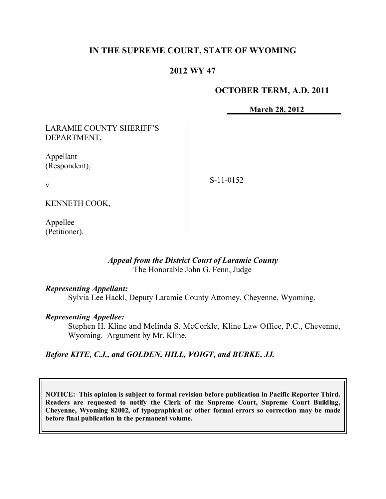## **IN THE SUPREME COURT, STATE OF WYOMING**

### **2012 WY 47**

#### **OCTOBER TERM, A.D. 2011**

**March 28, 2012**

LARAMIE COUNTY SHERIFF'S DEPARTMENT,

Appellant (Respondent),

v.

S-11-0152

KENNETH COOK,

Appellee (Petitioner).

#### *Appeal from the District Court of Laramie County* The Honorable John G. Fenn, Judge

#### *Representing Appellant:*

Sylvia Lee Hackl, Deputy Laramie County Attorney, Cheyenne, Wyoming.

### *Representing Appellee:*

Stephen H. Kline and Melinda S. McCorkle, Kline Law Office, P.C., Cheyenne, Wyoming. Argument by Mr. Kline.

#### *Before KITE, C.J., and GOLDEN, HILL, VOIGT, and BURKE, JJ.*

**NOTICE: This opinion is subject to formal revision before publication in Pacific Reporter Third. Readers are requested to notify the Clerk of the Supreme Court, Supreme Court Building, Cheyenne, Wyoming 82002, of typographical or other formal errors so correction may be made before final publication in the permanent volume.**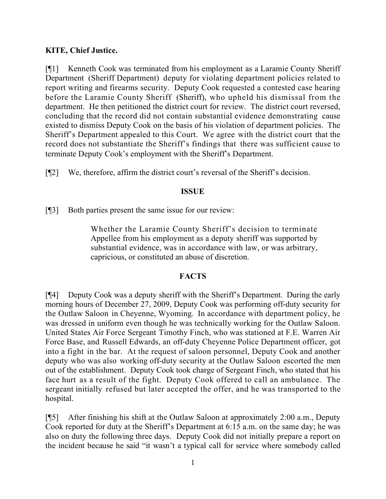## **KITE, Chief Justice.**

[¶1] Kenneth Cook was terminated from his employment as a Laramie County Sheriff Department (Sheriff Department) deputy for violating department policies related to report writing and firearms security. Deputy Cook requested a contested case hearing before the Laramie County Sheriff (Sheriff), who upheld his dismissal from the department. He then petitioned the district court for review. The district court reversed, concluding that the record did not contain substantial evidence demonstrating cause existed to dismiss Deputy Cook on the basis of his violation of department policies. The Sheriff's Department appealed to this Court. We agree with the district court that the record does not substantiate the Sheriff's findings that there was sufficient cause to terminate Deputy Cook's employment with the Sheriff's Department.

[¶2] We, therefore, affirm the district court's reversal of the Sheriff's decision.

#### **ISSUE**

[¶3] Both parties present the same issue for our review:

Whether the Laramie County Sheriff's decision to terminate Appellee from his employment as a deputy sheriff was supported by substantial evidence, was in accordance with law, or was arbitrary, capricious, or constituted an abuse of discretion.

#### **FACTS**

[¶4] Deputy Cook was a deputy sheriff with the Sheriff's Department. During the early morning hours of December 27, 2009, Deputy Cook was performing off-duty security for the Outlaw Saloon in Cheyenne, Wyoming. In accordance with department policy, he was dressed in uniform even though he was technically working for the Outlaw Saloon. United States Air Force Sergeant Timothy Finch, who was stationed at F.E. Warren Air Force Base, and Russell Edwards, an off-duty Cheyenne Police Department officer, got into a fight in the bar. At the request of saloon personnel, Deputy Cook and another deputy who was also working off-duty security at the Outlaw Saloon escorted the men out of the establishment. Deputy Cook took charge of Sergeant Finch, who stated that his face hurt as a result of the fight. Deputy Cook offered to call an ambulance. The sergeant initially refused but later accepted the offer, and he was transported to the hospital.

[¶5] After finishing his shift at the Outlaw Saloon at approximately 2:00 a.m., Deputy Cook reported for duty at the Sheriff's Department at 6:15 a.m. on the same day; he was also on duty the following three days. Deputy Cook did not initially prepare a report on the incident because he said "it wasn't a typical call for service where somebody called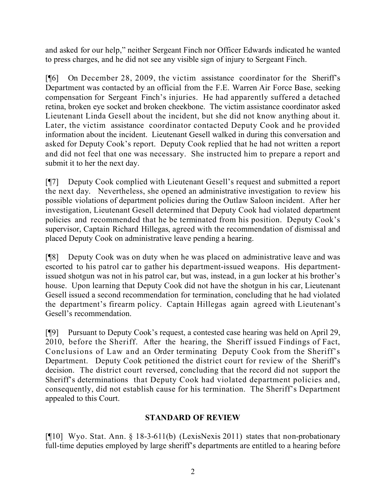and asked for our help," neither Sergeant Finch nor Officer Edwards indicated he wanted to press charges, and he did not see any visible sign of injury to Sergeant Finch.

[¶6] On December 28, 2009, the victim assistance coordinator for the Sheriff's Department was contacted by an official from the F.E. Warren Air Force Base, seeking compensation for Sergeant Finch's injuries. He had apparently suffered a detached retina, broken eye socket and broken cheekbone. The victim assistance coordinator asked Lieutenant Linda Gesell about the incident, but she did not know anything about it. Later, the victim assistance coordinator contacted Deputy Cook and he provided information about the incident. Lieutenant Gesell walked in during this conversation and asked for Deputy Cook's report. Deputy Cook replied that he had not written a report and did not feel that one was necessary. She instructed him to prepare a report and submit it to her the next day.

[¶7] Deputy Cook complied with Lieutenant Gesell's request and submitted a report the next day. Nevertheless, she opened an administrative investigation to review his possible violations of department policies during the Outlaw Saloon incident. After her investigation, Lieutenant Gesell determined that Deputy Cook had violated department policies and recommended that he be terminated from his position. Deputy Cook's supervisor, Captain Richard Hillegas, agreed with the recommendation of dismissal and placed Deputy Cook on administrative leave pending a hearing.

[¶8] Deputy Cook was on duty when he was placed on administrative leave and was escorted to his patrol car to gather his department-issued weapons. His departmentissued shotgun was not in his patrol car, but was, instead, in a gun locker at his brother's house. Upon learning that Deputy Cook did not have the shotgun in his car, Lieutenant Gesell issued a second recommendation for termination, concluding that he had violated the department's firearm policy. Captain Hillegas again agreed with Lieutenant's Gesell's recommendation.

[¶9] Pursuant to Deputy Cook's request, a contested case hearing was held on April 29, 2010, before the Sheriff. After the hearing, the Sheriff issued Findings of Fact, Conclusions of Law and an Order terminating Deputy Cook from the Sheriff's Department. Deputy Cook petitioned the district court for review of the Sheriff's decision. The district court reversed, concluding that the record did not support the Sheriff's determinations that Deputy Cook had violated department policies and, consequently, did not establish cause for his termination. The Sheriff's Department appealed to this Court.

## **STANDARD OF REVIEW**

[¶10] Wyo. Stat. Ann. § 18-3-611(b) (LexisNexis 2011) states that non-probationary full-time deputies employed by large sheriff's departments are entitled to a hearing before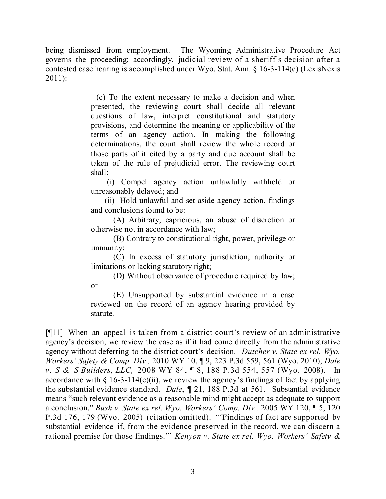being dismissed from employment. The Wyoming Administrative Procedure Act governs the proceeding; accordingly, judicial review of a sheriff's decision after a contested case hearing is accomplished under Wyo. Stat. Ann. § 16-3-114(c) (LexisNexis 2011):

> (c) To the extent necessary to make a decision and when presented, the reviewing court shall decide all relevant questions of law, interpret constitutional and statutory provisions, and determine the meaning or applicability of the terms of an agency action. In making the following determinations, the court shall review the whole record or those parts of it cited by a party and due account shall be taken of the rule of prejudicial error. The reviewing court shall:

> (i) Compel agency action unlawfully withheld or unreasonably delayed; and

> (ii) Hold unlawful and set aside agency action, findings and conclusions found to be:

> (A) Arbitrary, capricious, an abuse of discretion or otherwise not in accordance with law;

> (B) Contrary to constitutional right, power, privilege or immunity;

> (C) In excess of statutory jurisdiction, authority or limitations or lacking statutory right;

> (D) Without observance of procedure required by law; or

> (E) Unsupported by substantial evidence in a case reviewed on the record of an agency hearing provided by statute.

[¶11] When an appeal is taken from a district court's review of an administrative agency's decision, we review the case as if it had come directly from the administrative agency without deferring to the district court's decision. *Dutcher v. State ex rel. Wyo. Workers' Safety & Comp. Div.,* 2010 WY 10, ¶ 9, 223 P.3d 559, 561 (Wyo. 2010); *Dale v. S & S Builders, LLC,* 2008 WY 84, ¶ 8, 188 P.3d 554, 557 (Wyo. 2008). In accordance with § 16-3-114(c)(ii), we review the agency's findings of fact by applying the substantial evidence standard. *Dale*, ¶ 21, 188 P.3d at 561. Substantial evidence means "such relevant evidence as a reasonable mind might accept as adequate to support a conclusion." *Bush v. State ex rel. Wyo. Workers' Comp. Div.,* 2005 WY 120, ¶ 5, 120 P.3d 176, 179 (Wyo. 2005) (citation omitted). "'Findings of fact are supported by substantial evidence if, from the evidence preserved in the record, we can discern a rational premise for those findings.'" *Kenyon v. State ex rel. Wyo. Workers' Safety &*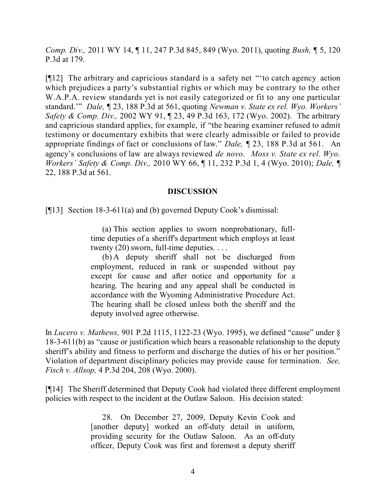*Comp. Div.,* 2011 WY 14, ¶ 11, 247 P.3d 845, 849 (Wyo. 2011), quoting *Bush,* ¶ 5, 120 P.3d at 179.

[¶12] The arbitrary and capricious standard is a safety net "'to catch agency action which prejudices a party's substantial rights or which may be contrary to the other W.A.P.A. review standards yet is not easily categorized or fit to any one particular standard.'" *Dale,* ¶ 23, 188 P.3d at 561, quoting *Newman v. State ex rel. Wyo. Workers' Safety & Comp. Div.,* 2002 WY 91, ¶ 23, 49 P.3d 163, 172 (Wyo. 2002). The arbitrary and capricious standard applies, for example, if "the hearing examiner refused to admit testimony or documentary exhibits that were clearly admissible or failed to provide appropriate findings of fact or conclusions of law." *Dale,* ¶ 23, 188 P.3d at 561. An agency's conclusions of law are always reviewed *de novo*. *Moss v. State ex rel. Wyo. Workers' Safety & Comp. Div.,* 2010 WY 66, ¶ 11, 232 P.3d 1, 4 (Wyo. 2010); *Dale,* ¶ 22, 188 P.3d at 561.

#### **DISCUSSION**

[¶13] Section 18-3-611(a) and (b) governed Deputy Cook's dismissal:

(a) This section applies to sworn nonprobationary, fulltime deputies of a sheriff's department which employs at least twenty (20) sworn, full-time deputies. . . .

(b) A deputy sheriff shall not be discharged from employment, reduced in rank or suspended without pay except for cause and after notice and opportunity for a hearing. The hearing and any appeal shall be conducted in accordance with the Wyoming Administrative Procedure Act. The hearing shall be closed unless both the sheriff and the deputy involved agree otherwise.

In *Lucero v. Mathews,* 901 P.2d 1115, 1122-23 (Wyo. 1995), we defined "cause" under § 18-3-611(b) as "cause or justification which bears a reasonable relationship to the deputy sheriff's ability and fitness to perform and discharge the duties of his or her position." Violation of department disciplinary policies may provide cause for termination. *See, Fisch v. Allsop,* 4 P.3d 204, 208 (Wyo. 2000).

[¶14] The Sheriff determined that Deputy Cook had violated three different employment policies with respect to the incident at the Outlaw Saloon. His decision stated:

> 28. On December 27, 2009, Deputy Kevin Cook and [another deputy] worked an off-duty detail in uniform, providing security for the Outlaw Saloon. As an off-duty officer, Deputy Cook was first and foremost a deputy sheriff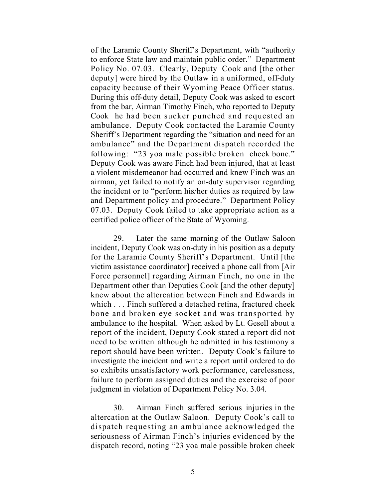of the Laramie County Sheriff's Department, with "authority to enforce State law and maintain public order." Department Policy No. 07.03. Clearly, Deputy Cook and [the other deputy] were hired by the Outlaw in a uniformed, off-duty capacity because of their Wyoming Peace Officer status. During this off-duty detail, Deputy Cook was asked to escort from the bar, Airman Timothy Finch, who reported to Deputy Cook he had been sucker punched and requested an ambulance. Deputy Cook contacted the Laramie County Sheriff's Department regarding the "situation and need for an ambulance" and the Department dispatch recorded the following: "23 yoa male possible broken cheek bone." Deputy Cook was aware Finch had been injured, that at least a violent misdemeanor had occurred and knew Finch was an airman, yet failed to notify an on-duty supervisor regarding the incident or to "perform his/her duties as required by law and Department policy and procedure." Department Policy 07.03. Deputy Cook failed to take appropriate action as a certified police officer of the State of Wyoming.

29. Later the same morning of the Outlaw Saloon incident, Deputy Cook was on-duty in his position as a deputy for the Laramie County Sheriff's Department. Until [the victim assistance coordinator] received a phone call from [Air Force personnel] regarding Airman Finch, no one in the Department other than Deputies Cook [and the other deputy] knew about the altercation between Finch and Edwards in which . . . Finch suffered a detached retina, fractured cheek bone and broken eye socket and was transported by ambulance to the hospital. When asked by Lt. Gesell about a report of the incident, Deputy Cook stated a report did not need to be written although he admitted in his testimony a report should have been written. Deputy Cook's failure to investigate the incident and write a report until ordered to do so exhibits unsatisfactory work performance, carelessness, failure to perform assigned duties and the exercise of poor judgment in violation of Department Policy No. 3.04.

30. Airman Finch suffered serious injuries in the altercation at the Outlaw Saloon. Deputy Cook's call to dispatch requesting an ambulance acknowledged the seriousness of Airman Finch's injuries evidenced by the dispatch record, noting "23 yoa male possible broken cheek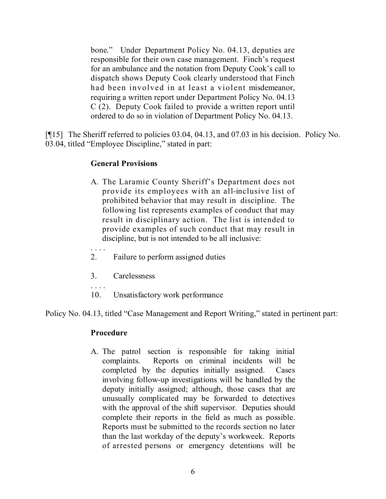bone." Under Department Policy No. 04.13, deputies are responsible for their own case management. Finch's request for an ambulance and the notation from Deputy Cook's call to dispatch shows Deputy Cook clearly understood that Finch had been involved in at least a violent misdemeanor, requiring a written report under Department Policy No. 04.13 C (2). Deputy Cook failed to provide a written report until ordered to do so in violation of Department Policy No. 04.13.

[¶15] The Sheriff referred to policies 03.04, 04.13, and 07.03 in his decision. Policy No. 03.04, titled "Employee Discipline," stated in part:

### **General Provisions**

- A. The Laramie County Sheriff's Department does not provide its employees with an all-inclusive list of prohibited behavior that may result in discipline. The following list represents examples of conduct that may result in disciplinary action. The list is intended to provide examples of such conduct that may result in discipline, but is not intended to be all inclusive:
- . . . . 2. Failure to perform assigned duties
- 3. Carelessness
- 10. Unsatisfactory work performance

Policy No. 04.13, titled "Case Management and Report Writing," stated in pertinent part:

#### **Procedure**

A. The patrol section is responsible for taking initial complaints. Reports on criminal incidents will be completed by the deputies initially assigned. Cases involving follow-up investigations will be handled by the deputy initially assigned; although, those cases that are unusually complicated may be forwarded to detectives with the approval of the shift supervisor. Deputies should complete their reports in the field as much as possible. Reports must be submitted to the records section no later than the last workday of the deputy's workweek. Reports of arrested persons or emergency detentions will be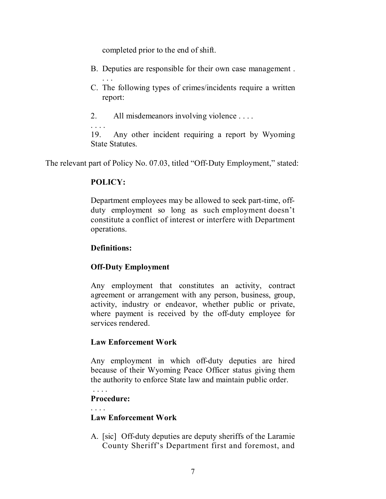completed prior to the end of shift.

- B. Deputies are responsible for their own case management .
- . . . C. The following types of crimes/incidents require a written report:
- 2. All misdemeanors involving violence . . . .

. . . . 19. Any other incident requiring a report by Wyoming State Statutes.

The relevant part of Policy No. 07.03, titled "Off-Duty Employment," stated:

### **POLICY:**

Department employees may be allowed to seek part-time, offduty employment so long as such employment doesn't constitute a conflict of interest or interfere with Department operations.

### **Definitions:**

## **Off-Duty Employment**

Any employment that constitutes an activity, contract agreement or arrangement with any person, business, group, activity, industry or endeavor, whether public or private, where payment is received by the off-duty employee for services rendered.

## **Law Enforcement Work**

Any employment in which off-duty deputies are hired because of their Wyoming Peace Officer status giving them the authority to enforce State law and maintain public order.

# **Procedure:**

# **Law Enforcement Work**

A. [sic] Off-duty deputies are deputy sheriffs of the Laramie County Sheriff's Department first and foremost, and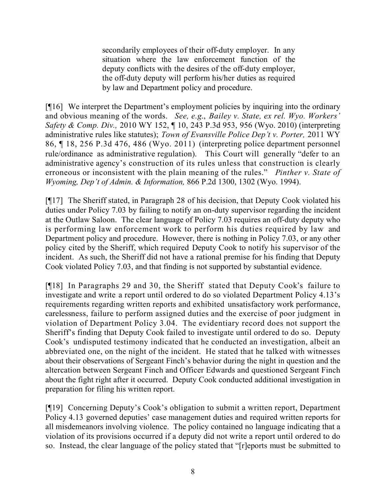secondarily employees of their off-duty employer. In any situation where the law enforcement function of the deputy conflicts with the desires of the off-duty employer, the off-duty deputy will perform his/her duties as required by law and Department policy and procedure.

[¶16] We interpret the Department's employment policies by inquiring into the ordinary and obvious meaning of the words. *See, e.g*., *Bailey v. State, ex rel. Wyo. Workers' Safety & Comp. Div.,* 2010 WY 152, ¶ 10, 243 P.3d 953, 956 (Wyo. 2010) (interpreting administrative rules like statutes); *Town of Evansville Police Dep't v. Porter,* 2011 WY 86, ¶ 18, 256 P.3d 476, 486 (Wyo. 2011) (interpreting police department personnel rule/ordinance as administrative regulation). This Court will generally "defer to an administrative agency's construction of its rules unless that construction is clearly erroneous or inconsistent with the plain meaning of the rules." *Pinther v. State of Wyoming, Dep't of Admin. & Information,* 866 P.2d 1300, 1302 (Wyo. 1994).

[¶17] The Sheriff stated, in Paragraph 28 of his decision, that Deputy Cook violated his duties under Policy 7.03 by failing to notify an on-duty supervisor regarding the incident at the Outlaw Saloon. The clear language of Policy 7.03 requires an off-duty deputy who is performing law enforcement work to perform his duties required by law and Department policy and procedure. However, there is nothing in Policy 7.03, or any other policy cited by the Sheriff, which required Deputy Cook to notify his supervisor of the incident. As such, the Sheriff did not have a rational premise for his finding that Deputy Cook violated Policy 7.03, and that finding is not supported by substantial evidence.

[¶18] In Paragraphs 29 and 30, the Sheriff stated that Deputy Cook's failure to investigate and write a report until ordered to do so violated Department Policy 4.13's requirements regarding written reports and exhibited unsatisfactory work performance, carelessness, failure to perform assigned duties and the exercise of poor judgment in violation of Department Policy 3.04. The evidentiary record does not support the Sheriff's finding that Deputy Cook failed to investigate until ordered to do so. Deputy Cook's undisputed testimony indicated that he conducted an investigation, albeit an abbreviated one, on the night of the incident. He stated that he talked with witnesses about their observations of Sergeant Finch's behavior during the night in question and the altercation between Sergeant Finch and Officer Edwards and questioned Sergeant Finch about the fight right after it occurred. Deputy Cook conducted additional investigation in preparation for filing his written report.

[¶19] Concerning Deputy's Cook's obligation to submit a written report, Department Policy 4.13 governed deputies' case management duties and required written reports for all misdemeanors involving violence. The policy contained no language indicating that a violation of its provisions occurred if a deputy did not write a report until ordered to do so. Instead, the clear language of the policy stated that "[r]eports must be submitted to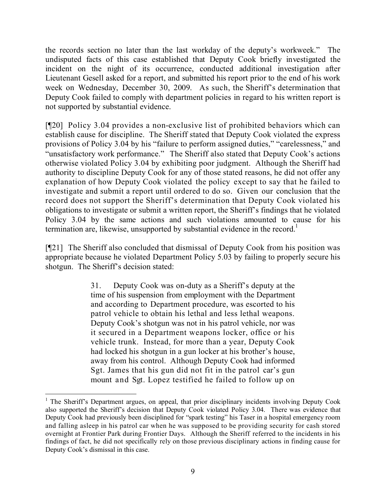the records section no later than the last workday of the deputy's workweek." The undisputed facts of this case established that Deputy Cook briefly investigated the incident on the night of its occurrence, conducted additional investigation after Lieutenant Gesell asked for a report, and submitted his report prior to the end of his work week on Wednesday, December 30, 2009. As such, the Sheriff's determination that Deputy Cook failed to comply with department policies in regard to his written report is not supported by substantial evidence.

[¶20] Policy 3.04 provides a non-exclusive list of prohibited behaviors which can establish cause for discipline. The Sheriff stated that Deputy Cook violated the express provisions of Policy 3.04 by his "failure to perform assigned duties," "carelessness," and "unsatisfactory work performance." The Sheriff also stated that Deputy Cook's actions otherwise violated Policy 3.04 by exhibiting poor judgment. Although the Sheriff had authority to discipline Deputy Cook for any of those stated reasons, he did not offer any explanation of how Deputy Cook violated the policy except to say that he failed to investigate and submit a report until ordered to do so. Given our conclusion that the record does not support the Sheriff's determination that Deputy Cook violated his obligations to investigate or submit a written report, the Sheriff's findings that he violated Policy 3.04 by the same actions and such violations amounted to cause for his termination are, likewise, unsupported by substantial evidence in the record.<sup>1</sup>

[¶21] The Sheriff also concluded that dismissal of Deputy Cook from his position was appropriate because he violated Department Policy 5.03 by failing to properly secure his shotgun. The Sheriff's decision stated:

> 31. Deputy Cook was on-duty as a Sheriff's deputy at the time of his suspension from employment with the Department and according to Department procedure, was escorted to his patrol vehicle to obtain his lethal and less lethal weapons. Deputy Cook's shotgun was not in his patrol vehicle, nor was it secured in a Department weapons locker, office or his vehicle trunk. Instead, for more than a year, Deputy Cook had locked his shotgun in a gun locker at his brother's house, away from his control. Although Deputy Cook had informed Sgt. James that his gun did not fit in the patrol car's gun mount and Sgt. Lopez testified he failed to follow up on

 $\overline{a}$ 

<sup>&</sup>lt;sup>1</sup> The Sheriff's Department argues, on appeal, that prior disciplinary incidents involving Deputy Cook also supported the Sheriff's decision that Deputy Cook violated Policy 3.04. There was evidence that Deputy Cook had previously been disciplined for "spark testing" his Taser in a hospital emergency room and falling asleep in his patrol car when he was supposed to be providing security for cash stored overnight at Frontier Park during Frontier Days. Although the Sheriff referred to the incidents in his findings of fact, he did not specifically rely on those previous disciplinary actions in finding cause for Deputy Cook's dismissal in this case.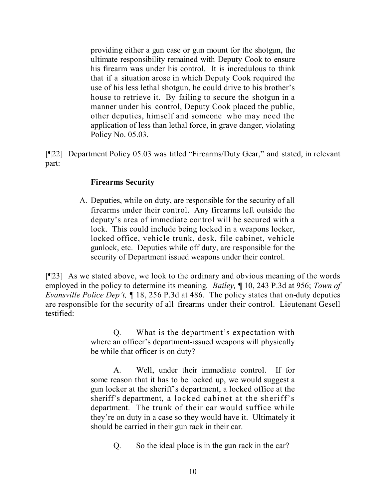providing either a gun case or gun mount for the shotgun, the ultimate responsibility remained with Deputy Cook to ensure his firearm was under his control. It is incredulous to think that if a situation arose in which Deputy Cook required the use of his less lethal shotgun, he could drive to his brother's house to retrieve it. By failing to secure the shotgun in a manner under his control, Deputy Cook placed the public, other deputies, himself and someone who may need the application of less than lethal force, in grave danger, violating Policy No. 05.03.

[¶22] Department Policy 05.03 was titled "Firearms/Duty Gear," and stated, in relevant part:

#### **Firearms Security**

A. Deputies, while on duty, are responsible for the security of all firearms under their control. Any firearms left outside the deputy's area of immediate control will be secured with a lock. This could include being locked in a weapons locker, locked office, vehicle trunk, desk, file cabinet, vehicle gunlock, etc. Deputies while off duty, are responsible for the security of Department issued weapons under their control.

[¶23] As we stated above, we look to the ordinary and obvious meaning of the words employed in the policy to determine its meaning. *Bailey,* ¶ 10, 243 P.3d at 956; *Town of Evansville Police Dep't,* ¶ 18, 256 P.3d at 486. The policy states that on-duty deputies are responsible for the security of all firearms under their control. Lieutenant Gesell testified:

> Q. What is the department's expectation with where an officer's department-issued weapons will physically be while that officer is on duty?

> A. Well, under their immediate control. If for some reason that it has to be locked up, we would suggest a gun locker at the sheriff's department, a locked office at the sheriff's department, a locked cabinet at the sheriff's department. The trunk of their car would suffice while they're on duty in a case so they would have it. Ultimately it should be carried in their gun rack in their car.

> > Q. So the ideal place is in the gun rack in the car?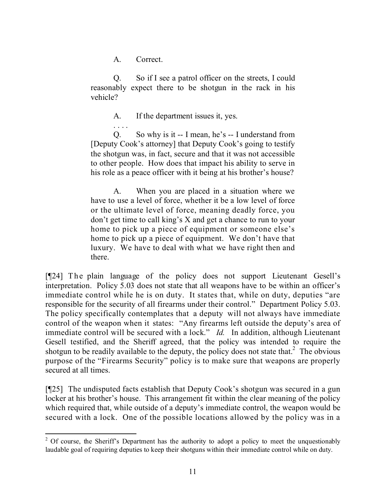A. Correct.

Q. So if I see a patrol officer on the streets, I could reasonably expect there to be shotgun in the rack in his vehicle?

A. If the department issues it, yes.

. . . . Q. So why is it -- I mean, he's -- I understand from [Deputy Cook's attorney] that Deputy Cook's going to testify the shotgun was, in fact, secure and that it was not accessible to other people. How does that impact his ability to serve in his role as a peace officer with it being at his brother's house?

A. When you are placed in a situation where we have to use a level of force, whether it be a low level of force or the ultimate level of force, meaning deadly force, you don't get time to call king's X and get a chance to run to your home to pick up a piece of equipment or someone else's home to pick up a piece of equipment. We don't have that luxury. We have to deal with what we have right then and there.

[¶24] The plain language of the policy does not support Lieutenant Gesell's interpretation. Policy 5.03 does not state that all weapons have to be within an officer's immediate control while he is on duty. It states that, while on duty, deputies "are responsible for the security of all firearms under their control." Department Policy 5.03. The policy specifically contemplates that a deputy will not always have immediate control of the weapon when it states: "Any firearms left outside the deputy's area of immediate control will be secured with a lock." *Id.* In addition, although Lieutenant Gesell testified, and the Sheriff agreed, that the policy was intended to require the shotgun to be readily available to the deputy, the policy does not state that.<sup>2</sup> The obvious purpose of the "Firearms Security" policy is to make sure that weapons are properly secured at all times.

[¶25] The undisputed facts establish that Deputy Cook's shotgun was secured in a gun locker at his brother's house. This arrangement fit within the clear meaning of the policy which required that, while outside of a deputy's immediate control, the weapon would be secured with a lock. One of the possible locations allowed by the policy was in a

 $\overline{a}$  $2^2$  Of course, the Sheriff's Department has the authority to adopt a policy to meet the unquestionably laudable goal of requiring deputies to keep their shotguns within their immediate control while on duty.